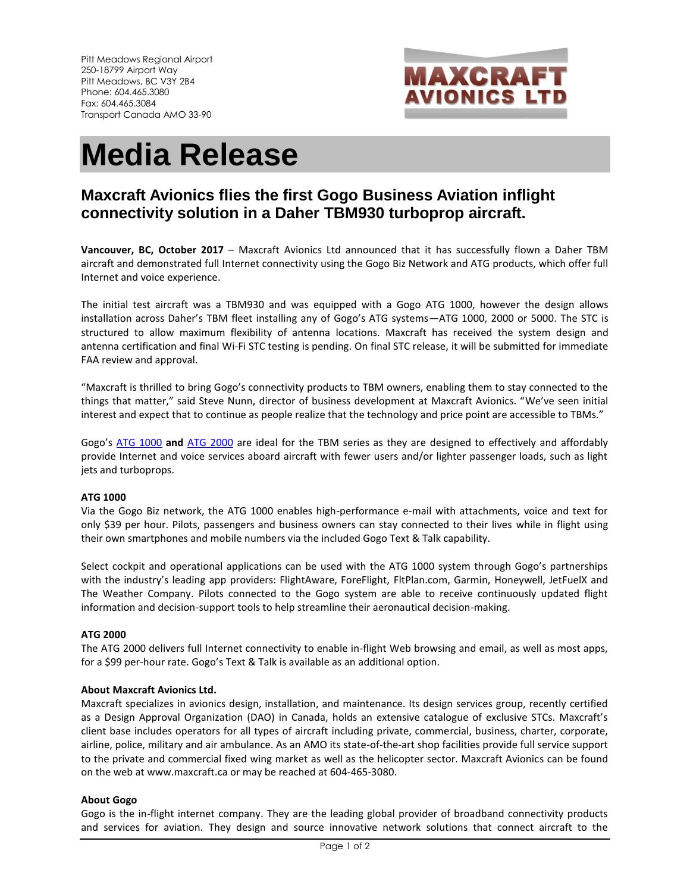

# **Media Release**

# **Maxcraft Avionics flies the first Gogo Business Aviation inflight connectivity solution in a Daher TBM930 turboprop aircraft.**

**Vancouver, BC, October 2017** – Maxcraft Avionics Ltd announced that it has successfully flown a Daher TBM aircraft and demonstrated full Internet connectivity using the Gogo Biz Network and ATG products, which offer full Internet and voice experience.

The initial test aircraft was a TBM930 and was equipped with a Gogo ATG 1000, however the design allows installation across Daher's TBM fleet installing any of Gogo's ATG systems—ATG 1000, 2000 or 5000. The STC is structured to allow maximum flexibility of antenna locations. Maxcraft has received the system design and antenna certification and final Wi-Fi STC testing is pending. On final STC release, it will be submitted for immediate FAA review and approval.

"Maxcraft is thrilled to bring Gogo's connectivity products to TBM owners, enabling them to stay connected to the things that matter," said Steve Nunn, director of business development at Maxcraft Avionics. "We've seen initial interest and expect that to continue as people realize that the technology and price point are accessible to TBMs."

Gogo's [ATG 1000](https://business.gogoair.com/products-services/gogo-biz/atg-1000/) **and** ATG [2000](https://business.gogoair.com/products-services/gogo-biz/atg-2000/) are ideal for the TBM series as they are designed to effectively and affordably provide Internet and voice services aboard aircraft with fewer users and/or lighter passenger loads, such as light jets and turboprops.

# **ATG 1000**

Via the Gogo Biz network, the ATG 1000 enables high-performance e-mail with attachments, voice and text for only \$39 per hour. Pilots, passengers and business owners can stay connected to their lives while in flight using their own smartphones and mobile numbers via the included Gogo Text & Talk capability.

Select cockpit and operational applications can be used with the ATG 1000 system through Gogo's partnerships with the industry's leading app providers: FlightAware, ForeFlight, FltPlan.com, Garmin, Honeywell, JetFuelX and The Weather Company. Pilots connected to the Gogo system are able to receive continuously updated flight information and decision-support tools to help streamline their aeronautical decision-making.

#### **ATG 2000**

The ATG 2000 delivers full Internet connectivity to enable in-flight Web browsing and email, as well as most apps, for a \$99 per-hour rate. Gogo's Text & Talk is available as an additional option.

# **About Maxcraft Avionics Ltd.**

Maxcraft specializes in avionics design, installation, and maintenance. Its design services group, recently certified as a Design Approval Organization (DAO) in Canada, holds an extensive catalogue of exclusive STCs. Maxcraft's client base includes operators for all types of aircraft including private, commercial, business, charter, corporate, airline, police, military and air ambulance. As an AMO its state-of-the-art shop facilities provide full service support to the private and commercial fixed wing market as well as the helicopter sector. Maxcraft Avionics can be found on the web at www.maxcraft.ca or may be reached at 604-465-3080.

# **About Gogo**

Gogo is the in-flight internet company. They are the leading global provider of broadband connectivity products and services for aviation. They design and source innovative network solutions that connect aircraft to the